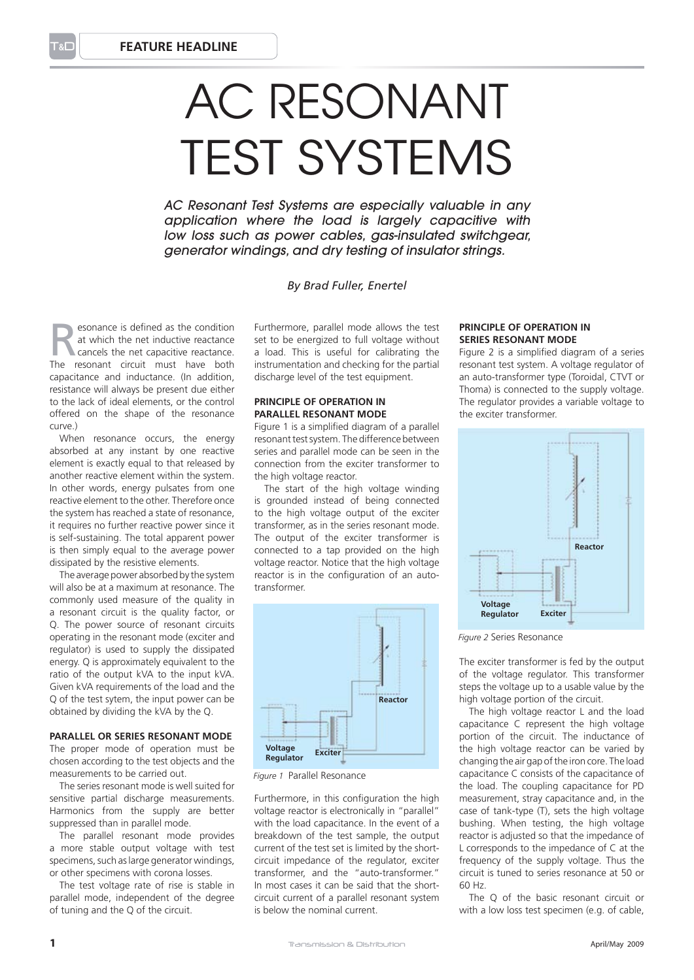## AC Resonant **TEST SYSTEMS**

*AC Resonant Test Systems are especially valuable in any application where the load is largely capacitive with low loss such as power cables, gas-insulated switchgear, generator windings, and dry testing of insulator strings.*

## *By Brad Fuller, Enertel*

Expression at which the net inductive reactance<br>
cancels the net capacitive reactance.<br>
The resonant circuit must have both at which the net inductive reactance The resonant circuit must have both capacitance and inductance. (In addition, resistance will always be present due either to the lack of ideal elements, or the control offered on the shape of the resonance curve.)

When resonance occurs, the energy absorbed at any instant by one reactive element is exactly equal to that released by another reactive element within the system. In other words, energy pulsates from one reactive element to the other. Therefore once the system has reached a state of resonance, it requires no further reactive power since it is self-sustaining. The total apparent power is then simply equal to the average power dissipated by the resistive elements.

The average power absorbed by the system will also be at a maximum at resonance. The commonly used measure of the quality in a resonant circuit is the quality factor, or Q. The power source of resonant circuits operating in the resonant mode (exciter and regulator) is used to supply the dissipated energy. Q is approximately equivalent to the ratio of the output kVA to the input kVA. Given kVA requirements of the load and the Q of the test sytem, the input power can be obtained by dividing the kVA by the Q.

**Parallel or Series Resonant Mode** The proper mode of operation must be chosen according to the test objects and the

measurements to be carried out. The series resonant mode is well suited for sensitive partial discharge measurements. Harmonics from the supply are better suppressed than in parallel mode.

The parallel resonant mode provides a more stable output voltage with test specimens, such as large generator windings, or other specimens with corona losses.

The test voltage rate of rise is stable in parallel mode, independent of the degree of tuning and the Q of the circuit.

Furthermore, parallel mode allows the test set to be energized to full voltage without a load. This is useful for calibrating the instrumentation and checking for the partial discharge level of the test equipment.

## **Principle of Operation in Parallel Resonant Mode**

Figure 1 is a simplified diagram of a parallel resonant test system. The difference between series and parallel mode can be seen in the connection from the exciter transformer to the high voltage reactor.

The start of the high voltage winding is grounded instead of being connected to the high voltage output of the exciter transformer, as in the series resonant mode. The output of the exciter transformer is connected to a tap provided on the high voltage reactor. Notice that the high voltage reactor is in the configuration of an autotransformer.



*Figure 1* Parallel Resonance

Furthermore, in this configuration the high voltage reactor is electronically in "parallel" with the load capacitance. In the event of a breakdown of the test sample, the output current of the test set is limited by the shortcircuit impedance of the regulator, exciter transformer, and the "auto-transformer." In most cases it can be said that the shortcircuit current of a parallel resonant system is below the nominal current.

## **Principle of Operation in Series Resonant Mode**

Figure 2 is a simplified diagram of a series resonant test system. A voltage regulator of an auto-transformer type (Toroidal, CTVT or Thoma) is connected to the supply voltage. The regulator provides a variable voltage to the exciter transformer.



*Figure 2* Series Resonance

The exciter transformer is fed by the output of the voltage regulator. This transformer steps the voltage up to a usable value by the high voltage portion of the circuit.

The high voltage reactor L and the load capacitance C represent the high voltage portion of the circuit. The inductance of the high voltage reactor can be varied by changing the air gap of the iron core. The load capacitance C consists of the capacitance of the load. The coupling capacitance for PD measurement, stray capacitance and, in the case of tank-type (T), sets the high voltage bushing. When testing, the high voltage reactor is adjusted so that the impedance of L corresponds to the impedance of C at the frequency of the supply voltage. Thus the circuit is tuned to series resonance at 50 or 60 Hz.

The Q of the basic resonant circuit or with a low loss test specimen (e.g. of cable,